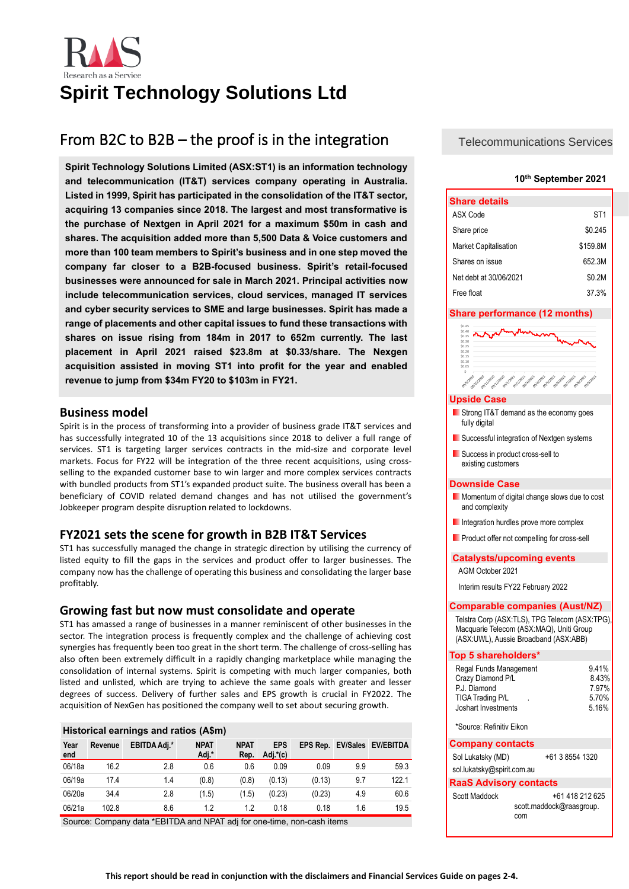

# **Spirit Technology Solutions Ltd**

# From B2C to B2B – the proof is in the integration

**Spirit Technology Solutions Limited (ASX:ST1) is an information technology and telecommunication (IT&T) services company operating in Australia. Listed in 1999, Spirit has participated in the consolidation of the IT&T sector, acquiring 13 companies since 2018. The largest and most transformative is the purchase of Nextgen in April 2021 for a maximum \$50m in cash and shares. The acquisition added more than 5,500 Data & Voice customers and more than 100 team members to Spirit's business and in one step moved the company far closer to a B2B-focused business. Spirit's retail-focused businesses were announced for sale in March 2021. Principal activities now include telecommunication services, cloud services, managed IT services and cyber security services to SME and large businesses. Spirit has made a range of placements and other capital issues to fund these transactions with shares on issue rising from 184m in 2017 to 652m currently. The last placement in April 2021 raised \$23.8m at \$0.33/share. The Nexgen acquisition assisted in moving ST1 into profit for the year and enabled revenue to jump from \$34m FY20 to \$103m in FY21.**

### **Business model**

Spirit is in the process of transforming into a provider of business grade IT&T services and has successfully integrated 10 of the 13 acquisitions since 2018 to deliver a full range of services. ST1 is targeting larger services contracts in the mid-size and corporate level markets. Focus for FY22 will be integration of the three recent acquisitions, using crossselling to the expanded customer base to win larger and more complex services contracts with bundled products from ST1's expanded product suite. The business overall has been a beneficiary of COVID related demand changes and has not utilised the government's Jobkeeper program despite disruption related to lockdowns.

## **FY2021 sets the scene for growth in B2B IT&T Services**

ST1 has successfully managed the change in strategic direction by utilising the currency of listed equity to fill the gaps in the services and product offer to larger businesses. The company now has the challenge of operating this business and consolidating the larger base profitably.

## **Growing fast but now must consolidate and operate**

ST1 has amassed a range of businesses in a manner reminiscent of other businesses in the sector. The integration process is frequently complex and the challenge of achieving cost synergies has frequently been too great in the short term. The challenge of cross-selling has also often been extremely difficult in a rapidly changing marketplace while managing the consolidation of internal systems. Spirit is competing with much larger companies, both listed and unlisted, which are trying to achieve the same goals with greater and lesser degrees of success. Delivery of further sales and EPS growth is crucial in FY2022. The acquisition of NexGen has positioned the company well to set about securing growth.

### **Historical earnings and ratios (A\$m)**

| Year<br>end | Revenue | <b>EBITDA Adj.*</b> | <b>NPAT</b><br>Adj.* | <b>NPAT</b><br>Rep. | <b>EPS</b><br>Adj.*(c) |        |     | EPS Rep. EV/Sales EV/EBITDA |
|-------------|---------|---------------------|----------------------|---------------------|------------------------|--------|-----|-----------------------------|
| 06/18a      | 16.2    | 2.8                 | 0.6                  | 0.6                 | 0.09                   | 0.09   | 9.9 | 59.3                        |
| 06/19a      | 17.4    | 1.4                 | (0.8)                | (0.8)               | (0.13)                 | (0.13) | 9.7 | 122.1                       |
| 06/20a      | 34.4    | 2.8                 | (1.5)                | (1.5)               | (0.23)                 | (0.23) | 4.9 | 60.6                        |
| 06/21a      | 102.8   | 8.6                 | 1.2                  | 1.2                 | 0.18                   | 0.18   | 1.6 | 19.5                        |

Source: Company data \*EBITDA and NPAT adj for one-time, non-cash items

Telecommunications Services

### **10th September 2021**

| <b>Share details</b>         |          |
|------------------------------|----------|
| ASX Code                     | ST1      |
| Share price                  | \$0.245  |
| <b>Market Capitalisation</b> | \$159.8M |
| Shares on issue              | 652.3M   |
| Net debt at 30/06/2021       | \$0.2M   |
| Free float                   | 37.3%    |

### **Share performance (12 months)**

| \$0.35<br>\$0.30 |                       |                                   |                        |                         |                                    |
|------------------|-----------------------|-----------------------------------|------------------------|-------------------------|------------------------------------|
| S0.25            |                       |                                   |                        |                         |                                    |
| \$0.20           |                       |                                   |                        |                         |                                    |
| S0.15            |                       |                                   |                        |                         |                                    |
| \$0.10           |                       |                                   |                        |                         |                                    |
| \$0.05           |                       |                                   |                        |                         |                                    |
| \$-              |                       |                                   |                        |                         |                                    |
| onleitezo        | cellelago<br>olluppoo | eallyings<br>on/view.<br>collings | colairpas<br>09/3/2021 | colisizozy<br>calgical2 | solitary<br>celelapoz<br>09/9/2021 |

### **Upside Case**

- Strong IT&T demand as the economy goes fully digital
- **Successful integration of Nextgen systems**
- Success in product cross-sell to existing customers

### **Downside Case**

- **Momentum of digital change slows due to cost** and complexity
- Integration hurdles prove more complex
- **Product offer not compelling for cross-sell**

### **Catalysts/upcoming events**

AGM October 2021

Interim results FY22 February 2022

### **Comparable companies (Aust/NZ)**

Telstra Corp (ASX:TLS), TPG Telecom (ASX:TPG), Macquarie Telecom (ASX:MAQ), Uniti Group (ASX:UWL), Aussie Broadband (ASX:ABB)

### **Top 5 shareholders\***

| Regal Funds Management | 9.41% |
|------------------------|-------|
| Crazy Diamond P/L      | 8.43% |
| P.J. Diamond           | 7.97% |
| TIGA Trading P/L<br>ä, | 5.70% |
| Joshart Investments    | 5.16% |

\*Source: Refinitiv Eikon

### **Company contacts**

| Sol Lukatsky (MD)             | +61 3 8554 1320 |
|-------------------------------|-----------------|
| sol.lukatsky@spirit.com.au    |                 |
| <b>RaaS Advisory contacts</b> |                 |
| Scott Maddock                 | +61 418 212 625 |

[scott.maddock@raasgroup.](mailto:scott.maddock@raasgroup) com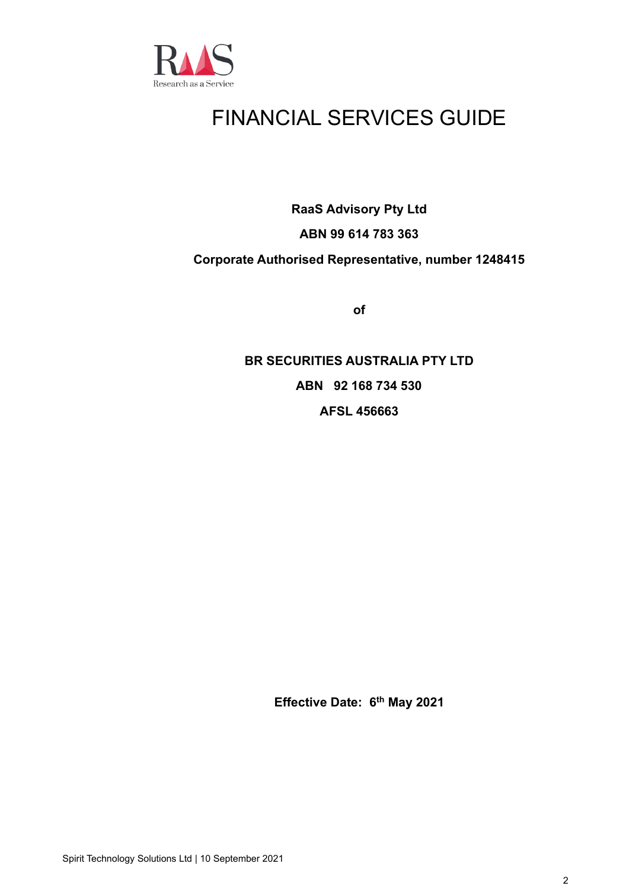

# FINANCIAL SERVICES GUIDE

**RaaS Advisory Pty Ltd**

## **ABN 99 614 783 363**

## **Corporate Authorised Representative, number 1248415**

**of**

**BR SECURITIES AUSTRALIA PTY LTD ABN 92 168 734 530 AFSL 456663**

**Effective Date: 6 th May 2021**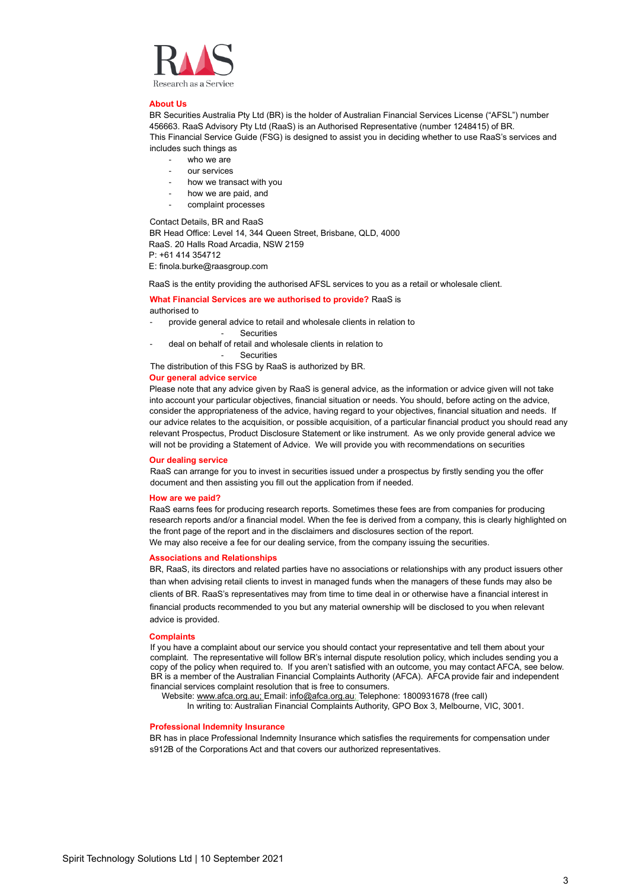

### **About Us**

BR Securities Australia Pty Ltd (BR) is the holder of Australian Financial Services License ("AFSL") number 456663. RaaS Advisory Pty Ltd (RaaS) is an Authorised Representative (number 1248415) of BR. This Financial Service Guide (FSG) is designed to assist you in deciding whether to use RaaS's services and includes such things as

- who we are
- our services
- how we transact with you
- how we are paid, and
- complaint processes

Contact Details, BR and RaaS

BR Head Office: Level 14, 344 Queen Street, Brisbane, QLD, 4000 RaaS. 20 Halls Road Arcadia, NSW 2159 P: +61 414 354712

E: finola.burke@raasgroup.com

RaaS is the entity providing the authorised AFSL services to you as a retail or wholesale client.

### **What Financial Services are we authorised to provide?** RaaS is authorised to

- provide general advice to retail and wholesale clients in relation to
	- Securities
- deal on behalf of retail and wholesale clients in relation to

**Securities** 

The distribution of this FSG by RaaS is authorized by BR.

### **Our general advice service**

Please note that any advice given by RaaS is general advice, as the information or advice given will not take into account your particular objectives, financial situation or needs. You should, before acting on the advice, consider the appropriateness of the advice, having regard to your objectives, financial situation and needs. If our advice relates to the acquisition, or possible acquisition, of a particular financial product you should read any relevant Prospectus, Product Disclosure Statement or like instrument. As we only provide general advice we will not be providing a Statement of Advice. We will provide you with recommendations on securities

### **Our dealing service**

RaaS can arrange for you to invest in securities issued under a prospectus by firstly sending you the offer document and then assisting you fill out the application from if needed.

### **How are we paid?**

RaaS earns fees for producing research reports. Sometimes these fees are from companies for producing research reports and/or a financial model. When the fee is derived from a company, this is clearly highlighted on the front page of the report and in the disclaimers and disclosures section of the report. We may also receive a fee for our dealing service, from the company issuing the securities.

### **Associations and Relationships**

BR, RaaS, its directors and related parties have no associations or relationships with any product issuers other than when advising retail clients to invest in managed funds when the managers of these funds may also be clients of BR. RaaS's representatives may from time to time deal in or otherwise have a financial interest in financial products recommended to you but any material ownership will be disclosed to you when relevant advice is provided.

### **Complaints**

If you have a complaint about our service you should contact your representative and tell them about your complaint. The representative will follow BR's internal dispute resolution policy, which includes sending you a copy of the policy when required to. If you aren't satisfied with an outcome, you may contact AFCA, see below. BR is a member of the Australian Financial Complaints Authority (AFCA). AFCA provide fair and independent financial services complaint resolution that is free to consumers.

Website[: www.afca.org.au;](http://www.afca.org.au/) Email[: info@afca.org.au;](mailto:info@afca.org.au) Telephone: 1800931678 (free call)

In writing to: Australian Financial Complaints Authority, GPO Box 3, Melbourne, VIC, 3001.

### **Professional Indemnity Insurance**

BR has in place Professional Indemnity Insurance which satisfies the requirements for compensation under s912B of the Corporations Act and that covers our authorized representatives.